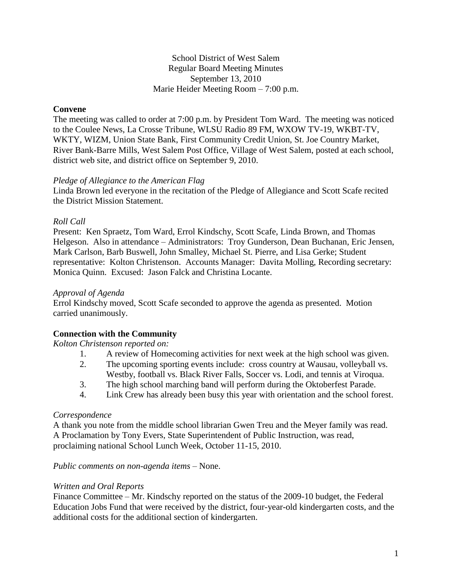## School District of West Salem Regular Board Meeting Minutes September 13, 2010 Marie Heider Meeting Room – 7:00 p.m.

## **Convene**

The meeting was called to order at 7:00 p.m. by President Tom Ward. The meeting was noticed to the Coulee News, La Crosse Tribune, WLSU Radio 89 FM, WXOW TV-19, WKBT-TV, WKTY, WIZM, Union State Bank, First Community Credit Union, St. Joe Country Market, River Bank-Barre Mills, West Salem Post Office, Village of West Salem, posted at each school, district web site, and district office on September 9, 2010.

#### *Pledge of Allegiance to the American Flag*

Linda Brown led everyone in the recitation of the Pledge of Allegiance and Scott Scafe recited the District Mission Statement.

## *Roll Call*

Present: Ken Spraetz, Tom Ward, Errol Kindschy, Scott Scafe, Linda Brown, and Thomas Helgeson. Also in attendance – Administrators: Troy Gunderson, Dean Buchanan, Eric Jensen, Mark Carlson, Barb Buswell, John Smalley, Michael St. Pierre, and Lisa Gerke; Student representative: Kolton Christenson. Accounts Manager: Davita Molling, Recording secretary: Monica Quinn. Excused: Jason Falck and Christina Locante.

#### *Approval of Agenda*

Errol Kindschy moved, Scott Scafe seconded to approve the agenda as presented. Motion carried unanimously.

# **Connection with the Community**

*Kolton Christenson reported on:*

- 1. A review of Homecoming activities for next week at the high school was given.
- 2. The upcoming sporting events include: cross country at Wausau, volleyball vs. Westby, football vs. Black River Falls, Soccer vs. Lodi, and tennis at Viroqua.
- 3. The high school marching band will perform during the Oktoberfest Parade.
- 4. Link Crew has already been busy this year with orientation and the school forest.

#### *Correspondence*

A thank you note from the middle school librarian Gwen Treu and the Meyer family was read. A Proclamation by Tony Evers, State Superintendent of Public Instruction, was read, proclaiming national School Lunch Week, October 11-15, 2010.

#### *Public comments on non-agenda items –* None.

#### *Written and Oral Reports*

Finance Committee – Mr. Kindschy reported on the status of the 2009-10 budget, the Federal Education Jobs Fund that were received by the district, four-year-old kindergarten costs, and the additional costs for the additional section of kindergarten.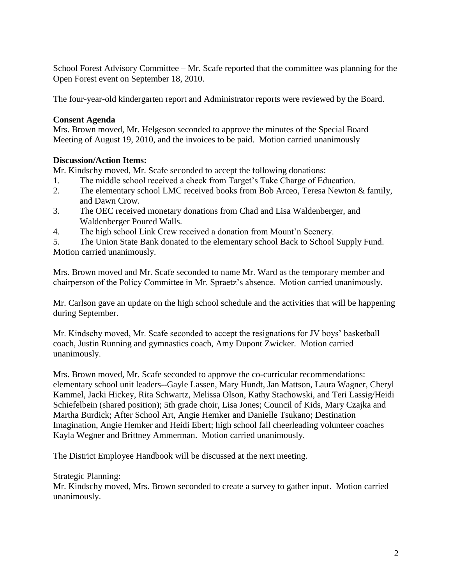School Forest Advisory Committee – Mr. Scafe reported that the committee was planning for the Open Forest event on September 18, 2010.

The four-year-old kindergarten report and Administrator reports were reviewed by the Board.

# **Consent Agenda**

Mrs. Brown moved, Mr. Helgeson seconded to approve the minutes of the Special Board Meeting of August 19, 2010, and the invoices to be paid. Motion carried unanimously

## **Discussion/Action Items:**

Mr. Kindschy moved, Mr. Scafe seconded to accept the following donations:

- 1. The middle school received a check from Target's Take Charge of Education.
- 2. The elementary school LMC received books from Bob Arceo, Teresa Newton & family, and Dawn Crow.
- 3. The OEC received monetary donations from Chad and Lisa Waldenberger, and Waldenberger Poured Walls.
- 4. The high school Link Crew received a donation from Mount'n Scenery.

5. The Union State Bank donated to the elementary school Back to School Supply Fund. Motion carried unanimously.

Mrs. Brown moved and Mr. Scafe seconded to name Mr. Ward as the temporary member and chairperson of the Policy Committee in Mr. Spraetz's absence. Motion carried unanimously.

Mr. Carlson gave an update on the high school schedule and the activities that will be happening during September.

Mr. Kindschy moved, Mr. Scafe seconded to accept the resignations for JV boys' basketball coach, Justin Running and gymnastics coach, Amy Dupont Zwicker. Motion carried unanimously.

Mrs. Brown moved, Mr. Scafe seconded to approve the co-curricular recommendations: elementary school unit leaders--Gayle Lassen, Mary Hundt, Jan Mattson, Laura Wagner, Cheryl Kammel, Jacki Hickey, Rita Schwartz, Melissa Olson, Kathy Stachowski, and Teri Lassig/Heidi Schiefelbein (shared position); 5th grade choir, Lisa Jones; Council of Kids, Mary Czajka and Martha Burdick; After School Art, Angie Hemker and Danielle Tsukano; Destination Imagination, Angie Hemker and Heidi Ebert; high school fall cheerleading volunteer coaches Kayla Wegner and Brittney Ammerman. Motion carried unanimously.

The District Employee Handbook will be discussed at the next meeting.

Strategic Planning:

Mr. Kindschy moved, Mrs. Brown seconded to create a survey to gather input. Motion carried unanimously.